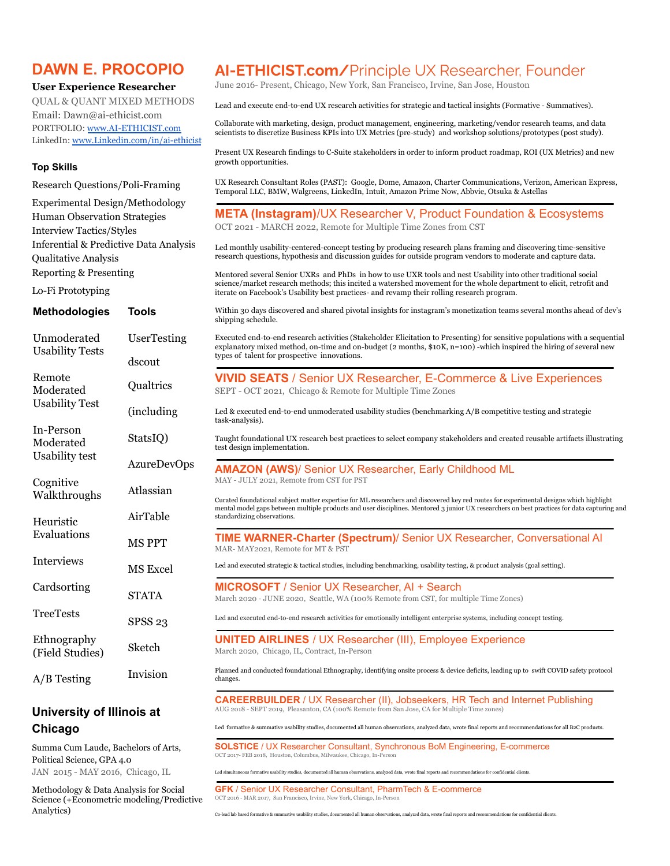### **DAWN E. PROCOPIO**

**User Experience Researcher** QUAL & QUANT MIXED METHODS Email: [Dawn@ai-ethicist.com](mailto:Dawn@ai-ethicist.com) PORTFOLIO: [www.AI-ETHICIST.com](http://www.ai-ethicist.com) LinkedIn: [www.Linkedin.com/in/ai-ethicist](http://www.linkedin.com/in/ai-ethicist)

#### **Top Skills**

Research Questions/Poli-Framing

Experimental Design/Methodology Human Observation Strategies Interview Tactics/Styles Inferential & Predictive Data Analysis Qualitative Analysis Reporting & Presenting

| <b>Inferential &amp; Predictive Data Analysis</b><br>Qualitative Analysis |                    | Led monthly usability-centered-concept testing by producing research plans framing and discovering time-sensitive<br>research questions, hypothesis and discussion guides for outside program vendors to moderate and capture data.                                                                        |
|---------------------------------------------------------------------------|--------------------|------------------------------------------------------------------------------------------------------------------------------------------------------------------------------------------------------------------------------------------------------------------------------------------------------------|
| <b>Reporting &amp; Presenting</b>                                         |                    | Mentored several Senior UXRs and PhDs in how to use UXR tools and nest Usability into other traditional social<br>science/market research methods; this incited a watershed movement for the whole department to elicit, retrofit and                                                                      |
| Lo-Fi Prototyping                                                         |                    | iterate on Facebook's Usability best practices- and revamp their rolling research program.                                                                                                                                                                                                                 |
| <b>Methodologies</b>                                                      | <b>Tools</b>       | Within 30 days discovered and shared pivotal insights for instagram's monetization teams several months ahead of dev's<br>shipping schedule.                                                                                                                                                               |
| Unmoderated<br><b>Usability Tests</b>                                     | UserTesting        | Executed end-to-end research activities (Stakeholder Elicitation to Presenting) for sensitive populations with a sequential<br>explanatory mixed method, on-time and on-budget $(2 \text{ months}, $10K, n=100)$ -which inspired the hiring of several new<br>types of talent for prospective innovations. |
|                                                                           | dscout             |                                                                                                                                                                                                                                                                                                            |
| Remote<br>Moderated                                                       | Qualtrics          | <b>VIVID SEATS / Senior UX Researcher, E-Commerce &amp; Live Experiences</b><br>SEPT - OCT 2021, Chicago & Remote for Multiple Time Zones                                                                                                                                                                  |
| <b>Usability Test</b>                                                     | (including         | Led & executed end-to-end unmoderated usability studies (benchmarking A/B competitive testing and strategic<br>task-analysis).                                                                                                                                                                             |
| In-Person<br>Moderated                                                    | StatsIQ)           | Taught foundational UX research best practices to select company stakeholders and created reusable artifacts illustrating<br>test design implementation.                                                                                                                                                   |
| <b>Usability test</b>                                                     | <b>AzureDevOps</b> | <b>AMAZON (AWS)/ Senior UX Researcher, Early Childhood ML</b>                                                                                                                                                                                                                                              |
| Cognitive<br>Walkthroughs                                                 | Atlassian          | MAY - JULY 2021, Remote from CST for PST<br>Curated foundational subject matter expertise for ML researchers and discovered key red routes for experimental designs which highlight                                                                                                                        |
| Heuristic<br>Evaluations                                                  | AirTable           | mental model gaps between multiple products and user disciplines. Mentored 3 junior UX researchers on best practices for data capturing and<br>standardizing observations.                                                                                                                                 |
|                                                                           | <b>MSPPT</b>       | TIME WARNER-Charter (Spectrum)/ Senior UX Researcher, Conversational AI<br>MAR-MAY2021, Remote for MT & PST                                                                                                                                                                                                |
| Interviews                                                                | <b>MS</b> Excel    | Led and executed strategic & tactical studies, including benchmarking, usability testing, & product analysis (goal setting).                                                                                                                                                                               |
| Cardsorting                                                               | <b>STATA</b>       | <b>MICROSOFT</b> / Senior UX Researcher, AI + Search<br>March 2020 - JUNE 2020, Seattle, WA (100% Remote from CST, for multiple Time Zones)                                                                                                                                                                |
| <b>TreeTests</b>                                                          | SPSS <sub>23</sub> | Led and executed end-to-end research activities for emotionally intelligent enterprise systems, including concept testing.                                                                                                                                                                                 |
| Ethnography<br>(Field Studies)                                            | Sketch             | <b>UNITED AIRLINES / UX Researcher (III), Employee Experience</b><br>March 2020, Chicago, IL, Contract, In-Person                                                                                                                                                                                          |
| $A/B$ Testing                                                             | Invision           | Planned and conducted foundational Ethnography, identifying onsite process & device deficits, leading up to swift COVID safety protocol<br>changes.                                                                                                                                                        |
| University of Illinois at                                                 |                    | <b>CAREERBUILDER</b> / UX Researcher (II), Jobseekers, HR Tech and Internet Publishing<br>AUG 2018 - SEPT 2019, Pleasanton, CA (100% Remote from San Jose, CA for Multiple Time zones)                                                                                                                     |

## **Chicago**

Summa Cum Laude, Bachelors of Arts, Political Science, GPA 4.0 JAN 2015 - MAY 2016, Chicago, IL

Methodology & Data Analysis for Social Science (+Econometric modeling/Predictive Analytics)

## **AI-ETHICIST.com/**Principle UX Researcher, Founder

June 2016- Present, Chicago, New York, San Francisco, Irvine, San Jose, Houston

Lead and execute end-to-end UX research activities for strategic and tactical insights (Formative - Summatives).

Collaborate with marketing, design, product management, engineering, marketing/vendor research teams, and data scientists to discretize Business KPIs into UX Metrics (pre-study) and workshop solutions/prototypes (post study).

Present UX Research findings to C-Suite stakeholders in order to inform product roadmap, ROI (UX Metrics) and new growth opportunities.

UX Research Consultant Roles (PAST): Google, Dome, Amazon, Charter Communications, Verizon, American Express, Temporal LLC, BMW, Walgreens, LinkedIn, Intuit, Amazon Prime Now, Abbvie, Otsuka & Astellas

**META (Instagram)**/UX Researcher V, Product Foundation & Ecosystems OCT 2021 - MARCH 2022, Remote for Multiple Time Zones from CST

Led formative & summative usability studies, documented all human observations, analyzed data, wrote final reports and recommendations for all B2C products.

**SOLSTICE** / UX Researcher Consultant, Synchronous BoM Engineering, E-commerce OCT 2017- FEB 2018, Houston, Columbus, Milwaukee, Chicago, In-Person

Led simultaneous formative usability studies, documented all human observations, analyzed data, wrote final reports and recommendations for confidential clients.

**GFK** / Senior UX Researcher Consultant, PharmTech & E-commerce OCT 2016 - MAR 2017, San Francisco, Irvine, New York, Chicago, In-Person

Co-lead lab based formative & summative usability studies, documented all human observations, analyzed data, wrote final reports and recommendations for confidential clients.